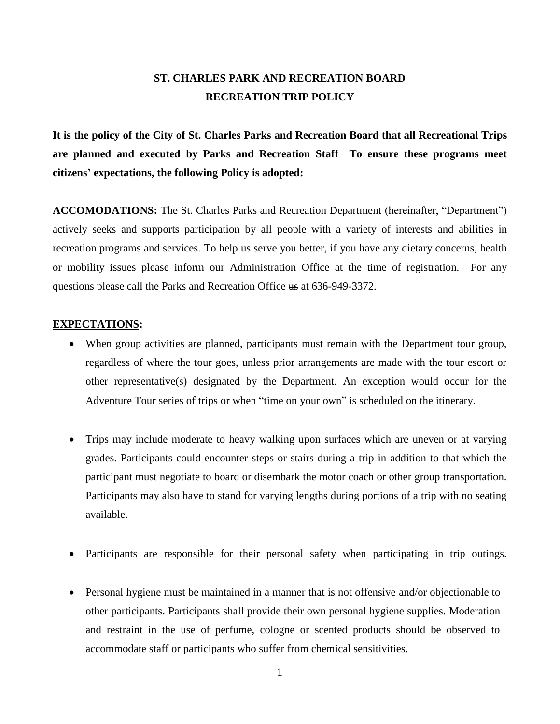# **ST. CHARLES PARK AND RECREATION BOARD RECREATION TRIP POLICY**

**It is the policy of the City of St. Charles Parks and Recreation Board that all Recreational Trips are planned and executed by Parks and Recreation Staff To ensure these programs meet citizens' expectations, the following Policy is adopted:** 

**ACCOMODATIONS:** The St. Charles Parks and Recreation Department (hereinafter, "Department") actively seeks and supports participation by all people with a variety of interests and abilities in recreation programs and services. To help us serve you better, if you have any dietary concerns, health or mobility issues please inform our Administration Office at the time of registration. For any questions please call the Parks and Recreation Office us at 636-949-3372.

#### **EXPECTATIONS:**

- When group activities are planned, participants must remain with the Department tour group, regardless of where the tour goes, unless prior arrangements are made with the tour escort or other representative(s) designated by the Department. An exception would occur for the Adventure Tour series of trips or when "time on your own" is scheduled on the itinerary.
- Trips may include moderate to heavy walking upon surfaces which are uneven or at varying grades. Participants could encounter steps or stairs during a trip in addition to that which the participant must negotiate to board or disembark the motor coach or other group transportation. Participants may also have to stand for varying lengths during portions of a trip with no seating available.
- Participants are responsible for their personal safety when participating in trip outings.
- Personal hygiene must be maintained in a manner that is not offensive and/or objectionable to other participants. Participants shall provide their own personal hygiene supplies. Moderation and restraint in the use of perfume, cologne or scented products should be observed to accommodate staff or participants who suffer from chemical sensitivities.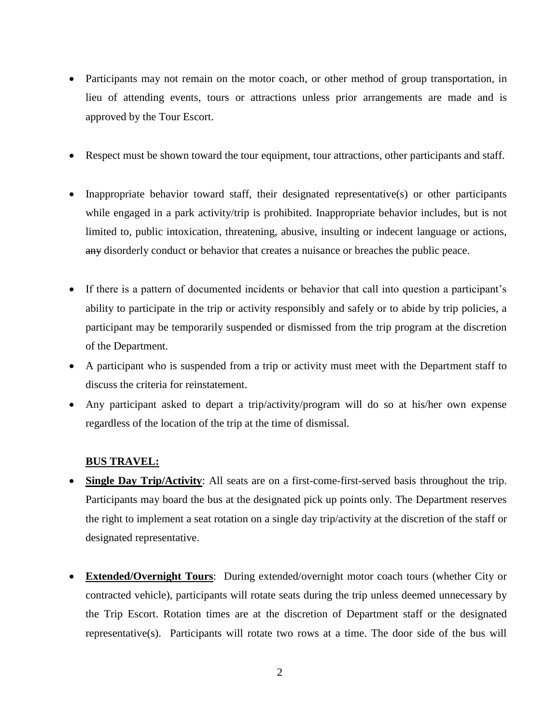- Participants may not remain on the motor coach, or other method of group transportation, in lieu of attending events, tours or attractions unless prior arrangements are made and is approved by the Tour Escort.
- Respect must be shown toward the tour equipment, tour attractions, other participants and staff.
- Inappropriate behavior toward staff, their designated representative(s) or other participants while engaged in a park activity/trip is prohibited. Inappropriate behavior includes, but is not limited to, public intoxication, threatening, abusive, insulting or indecent language or actions, any disorderly conduct or behavior that creates a nuisance or breaches the public peace.
- If there is a pattern of documented incidents or behavior that call into question a participant's ability to participate in the trip or activity responsibly and safely or to abide by trip policies, a participant may be temporarily suspended or dismissed from the trip program at the discretion of the Department.
- A participant who is suspended from a trip or activity must meet with the Department staff to discuss the criteria for reinstatement.
- Any participant asked to depart a trip/activity/program will do so at his/her own expense regardless of the location of the trip at the time of dismissal.

# **BUS TRAVEL:**

- **Single Day Trip/Activity**: All seats are on a first-come-first-served basis throughout the trip. Participants may board the bus at the designated pick up points only. The Department reserves the right to implement a seat rotation on a single day trip/activity at the discretion of the staff or designated representative.
- **Extended/Overnight Tours**: During extended/overnight motor coach tours (whether City or contracted vehicle), participants will rotate seats during the trip unless deemed unnecessary by the Trip Escort. Rotation times are at the discretion of Department staff or the designated representative(s). Participants will rotate two rows at a time. The door side of the bus will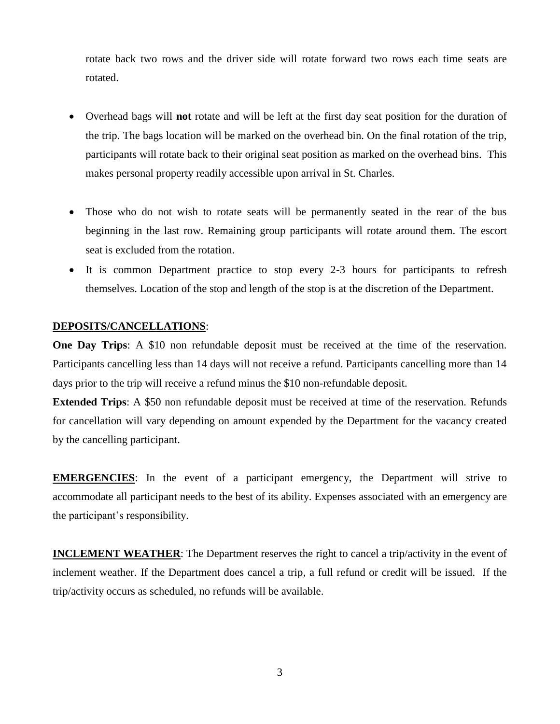rotate back two rows and the driver side will rotate forward two rows each time seats are rotated.

- Overhead bags will **not** rotate and will be left at the first day seat position for the duration of the trip. The bags location will be marked on the overhead bin. On the final rotation of the trip, participants will rotate back to their original seat position as marked on the overhead bins. This makes personal property readily accessible upon arrival in St. Charles.
- Those who do not wish to rotate seats will be permanently seated in the rear of the bus beginning in the last row. Remaining group participants will rotate around them. The escort seat is excluded from the rotation.
- It is common Department practice to stop every 2-3 hours for participants to refresh themselves. Location of the stop and length of the stop is at the discretion of the Department.

## **DEPOSITS/CANCELLATIONS**:

**One Day Trips:** A \$10 non refundable deposit must be received at the time of the reservation. Participants cancelling less than 14 days will not receive a refund. Participants cancelling more than 14 days prior to the trip will receive a refund minus the \$10 non-refundable deposit.

**Extended Trips**: A \$50 non refundable deposit must be received at time of the reservation. Refunds for cancellation will vary depending on amount expended by the Department for the vacancy created by the cancelling participant.

**EMERGENCIES:** In the event of a participant emergency, the Department will strive to accommodate all participant needs to the best of its ability. Expenses associated with an emergency are the participant's responsibility.

**INCLEMENT WEATHER:** The Department reserves the right to cancel a trip/activity in the event of inclement weather. If the Department does cancel a trip, a full refund or credit will be issued. If the trip/activity occurs as scheduled, no refunds will be available.